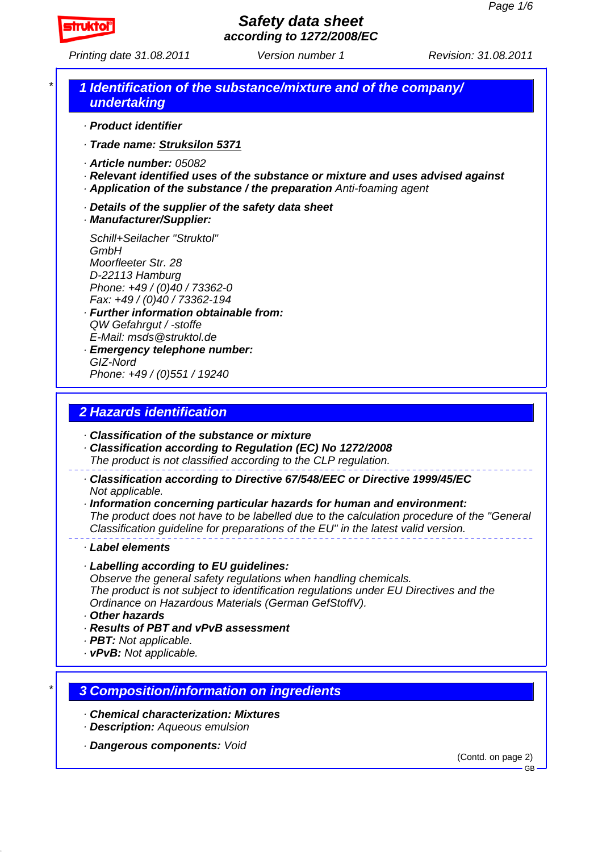

*Printing date 31.08.2011 Revision: 31.08.2011 Version number 1*

## *\* 1 Identification of the substance/mixture and of the company/ undertaking*

- *· Product identifier*
- *· Trade name: Struksilon 5371*
- *· Article number: 05082*
- *· Relevant identified uses of the substance or mixture and uses advised against*
- *· Application of the substance / the preparation Anti-foaming agent*
- *· Details of the supplier of the safety data sheet*
- *· Manufacturer/Supplier:*

*Schill+Seilacher "Struktol" GmbH Moorfleeter Str. 28 D-22113 Hamburg Phone: +49 / (0)40 / 73362-0 Fax: +49 / (0)40 / 73362-194*

- *· Further information obtainable from: QW Gefahrgut / -stoffe E-Mail: msds@struktol.de*
- *· Emergency telephone number: GIZ-Nord Phone: +49 / (0)551 / 19240*

# *2 Hazards identification*

- *· Classification of the substance or mixture*
- *· Classification according to Regulation (EC) No 1272/2008*
- *The product is not classified according to the CLP regulation.*
- *· Classification according to Directive 67/548/EEC or Directive 1999/45/EC Not applicable.*

*· Information concerning particular hazards for human and environment: The product does not have to be labelled due to the calculation procedure of the "General Classification guideline for preparations of the EU" in the latest valid version.*

#### *· Label elements*

*· Labelling according to EU guidelines:*

*Observe the general safety regulations when handling chemicals.*

*The product is not subject to identification regulations under EU Directives and the Ordinance on Hazardous Materials (German GefStoffV).*

- *· Other hazards*
- *· Results of PBT and vPvB assessment*
- *· PBT: Not applicable.*
- *· vPvB: Not applicable.*

## *\* 3 Composition/information on ingredients*

- *· Chemical characterization: Mixtures*
- *· Description: Aqueous emulsion*
- *· Dangerous components: Void*

(Contd. on page 2)

GB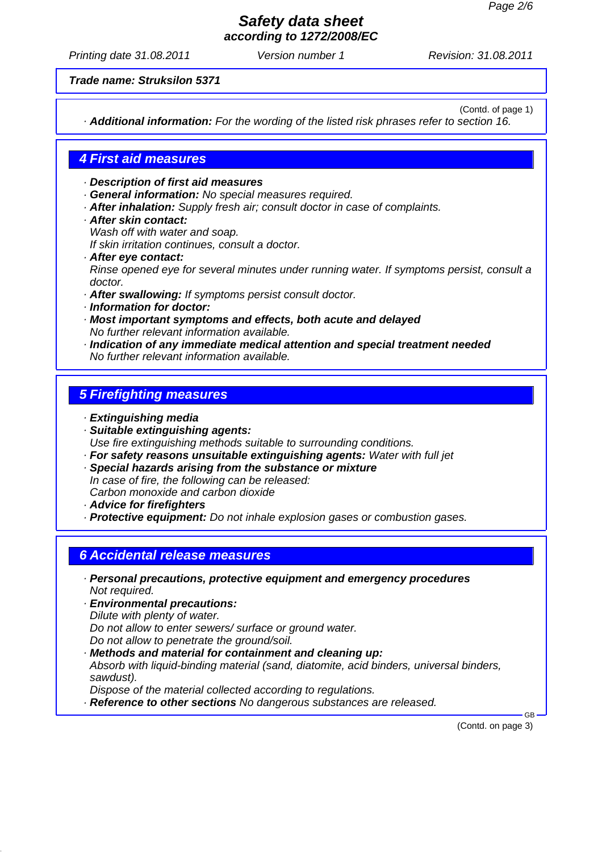*Printing date 31.08.2011 Revision: 31.08.2011 Version number 1*

*Trade name: Struksilon 5371*

(Contd. of page 1)

*· Additional information: For the wording of the listed risk phrases refer to section 16.*

### *4 First aid measures*

*· Description of first aid measures*

- *· General information: No special measures required.*
- *· After inhalation: Supply fresh air; consult doctor in case of complaints.*
- *· After skin contact: Wash off with water and soap.*

*If skin irritation continues, consult a doctor.*

- *· After eye contact: Rinse opened eye for several minutes under running water. If symptoms persist, consult a doctor.*
- *· After swallowing: If symptoms persist consult doctor.*
- *· Information for doctor:*
- *· Most important symptoms and effects, both acute and delayed No further relevant information available.*
- *· Indication of any immediate medical attention and special treatment needed No further relevant information available.*

## *5 Firefighting measures*

- *· Extinguishing media*
- *· Suitable extinguishing agents: Use fire extinguishing methods suitable to surrounding conditions.*
- *· For safety reasons unsuitable extinguishing agents: Water with full jet*
- *· Special hazards arising from the substance or mixture In case of fire, the following can be released: Carbon monoxide and carbon dioxide*
- *· Advice for firefighters*

*· Protective equipment: Do not inhale explosion gases or combustion gases.*

## *6 Accidental release measures*

- *· Personal precautions, protective equipment and emergency procedures Not required.*
- *· Environmental precautions: Dilute with plenty of water. Do not allow to enter sewers/ surface or ground water. Do not allow to penetrate the ground/soil.*
- *· Methods and material for containment and cleaning up: Absorb with liquid-binding material (sand, diatomite, acid binders, universal binders, sawdust). Dispose of the material collected according to regulations.*
- *· Reference to other sections No dangerous substances are released.*

(Contd. on page 3)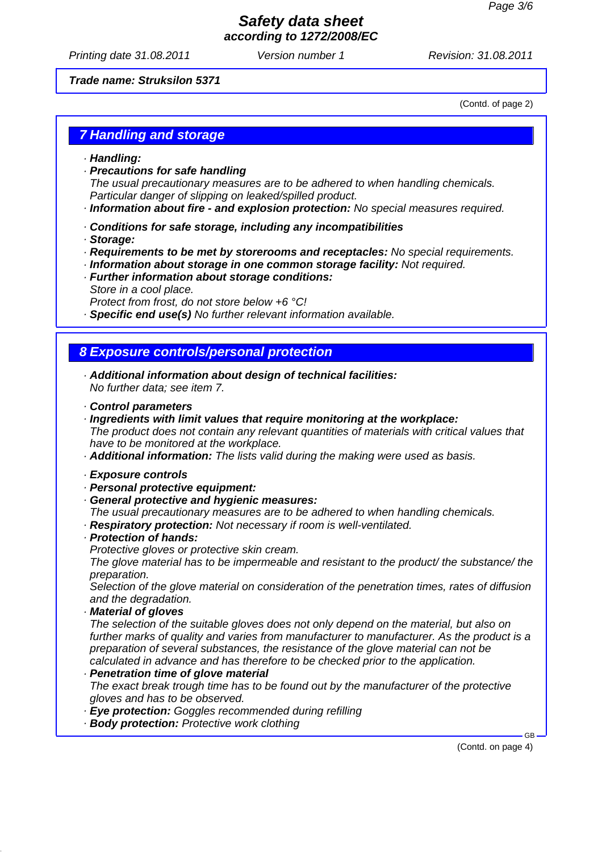*Printing date 31.08.2011 Revision: 31.08.2011 Version number 1*

#### *Trade name: Struksilon 5371*

(Contd. of page 2)

### *7 Handling and storage*

- *· Handling:*
- *· Precautions for safe handling*

*The usual precautionary measures are to be adhered to when handling chemicals. Particular danger of slipping on leaked/spilled product.*

- *· Information about fire and explosion protection: No special measures required.*
- *· Conditions for safe storage, including any incompatibilities*
- *· Storage:*
- *· Requirements to be met by storerooms and receptacles: No special requirements.*
- *· Information about storage in one common storage facility: Not required.*
- *· Further information about storage conditions: Store in a cool place.*
	- *Protect from frost, do not store below +6 °C!*
- *· Specific end use(s) No further relevant information available.*

# *8 Exposure controls/personal protection*

- *· Additional information about design of technical facilities: No further data; see item 7.*
- *· Control parameters*
- *· Ingredients with limit values that require monitoring at the workplace:*

*The product does not contain any relevant quantities of materials with critical values that have to be monitored at the workplace.*

*· Additional information: The lists valid during the making were used as basis.*

#### *· Exposure controls*

- *· Personal protective equipment:*
- *· General protective and hygienic measures:*
- *The usual precautionary measures are to be adhered to when handling chemicals.*
- *· Respiratory protection: Not necessary if room is well-ventilated.*

### *· Protection of hands:*

*Protective gloves or protective skin cream.*

*The glove material has to be impermeable and resistant to the product/ the substance/ the preparation.*

*Selection of the glove material on consideration of the penetration times, rates of diffusion and the degradation.*

### *· Material of gloves*

*The selection of the suitable gloves does not only depend on the material, but also on further marks of quality and varies from manufacturer to manufacturer. As the product is a preparation of several substances, the resistance of the glove material can not be calculated in advance and has therefore to be checked prior to the application.*

### *· Penetration time of glove material*

*The exact break trough time has to be found out by the manufacturer of the protective gloves and has to be observed.*

- *· Eye protection: Goggles recommended during refilling*
- *· Body protection: Protective work clothing*

(Contd. on page 4)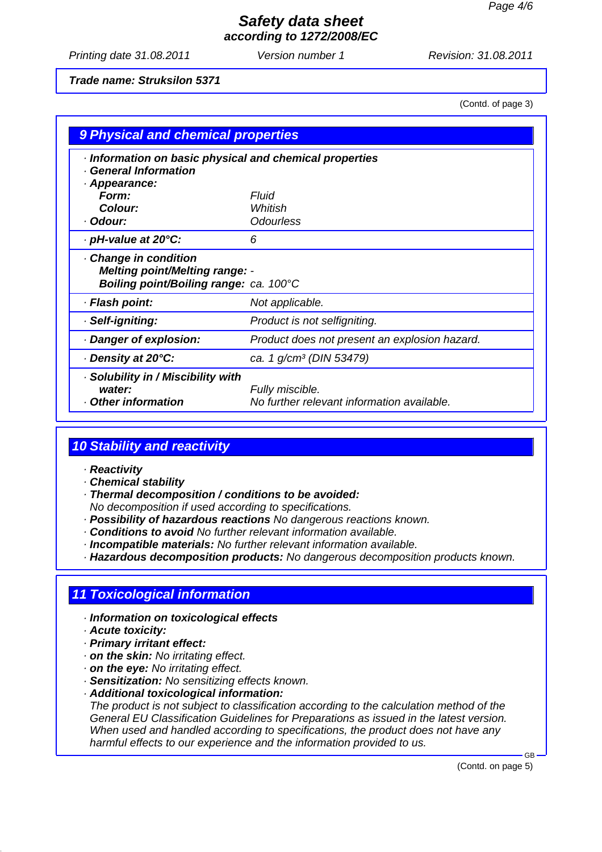*Printing date 31.08.2011 Revision: 31.08.2011 Version number 1*

### *Trade name: Struksilon 5371*

(Contd. of page 3)

| 9 Physical and chemical properties                                                                     |                                                               |  |
|--------------------------------------------------------------------------------------------------------|---------------------------------------------------------------|--|
| Information on basic physical and chemical properties<br><b>General Information</b>                    |                                                               |  |
| · Appearance:                                                                                          |                                                               |  |
| Form:                                                                                                  | <b>Fluid</b>                                                  |  |
| Colour:                                                                                                | Whitish                                                       |  |
| · Odour:                                                                                               | <b>Odourless</b>                                              |  |
| · pH-value at 20°C:                                                                                    | 6                                                             |  |
| Change in condition<br><b>Melting point/Melting range: -</b><br>Boiling point/Boiling range: ca. 100°C |                                                               |  |
| · Flash point:                                                                                         | Not applicable.                                               |  |
| · Self-igniting:                                                                                       | Product is not selfigniting.                                  |  |
| · Danger of explosion:                                                                                 | Product does not present an explosion hazard.                 |  |
| ⋅ Density at 20°C:                                                                                     | ca. 1 g/cm <sup>3</sup> (DIN 53479)                           |  |
| Solubility in / Miscibility with<br>water:<br>Other information                                        | Fully miscible.<br>No further relevant information available. |  |

# *10 Stability and reactivity*

#### *· Reactivity*

- *· Chemical stability*
- *· Thermal decomposition / conditions to be avoided:*
- *No decomposition if used according to specifications.*
- *· Possibility of hazardous reactions No dangerous reactions known.*
- *· Conditions to avoid No further relevant information available.*
- *· Incompatible materials: No further relevant information available.*
- *· Hazardous decomposition products: No dangerous decomposition products known.*

## *11 Toxicological information*

- *· Information on toxicological effects*
- *· Acute toxicity:*
- *· Primary irritant effect:*
- *· on the skin: No irritating effect.*
- *· on the eye: No irritating effect.*
- *· Sensitization: No sensitizing effects known.*
- *· Additional toxicological information:*

*The product is not subject to classification according to the calculation method of the General EU Classification Guidelines for Preparations as issued in the latest version. When used and handled according to specifications, the product does not have any harmful effects to our experience and the information provided to us.*

(Contd. on page 5)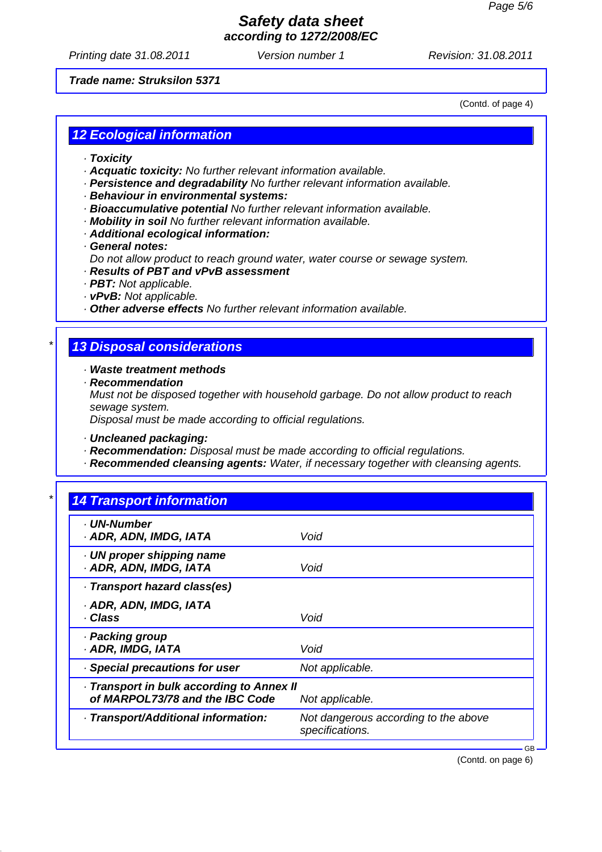*Printing date 31.08.2011 Revision: 31.08.2011 Version number 1*

#### *Trade name: Struksilon 5371*

(Contd. of page 4)

# *12 Ecological information*

- *· Toxicity*
- *· Acquatic toxicity: No further relevant information available.*
- *· Persistence and degradability No further relevant information available.*
- *· Behaviour in environmental systems:*
- *· Bioaccumulative potential No further relevant information available.*
- *· Mobility in soil No further relevant information available.*
- *· Additional ecological information:*
- *· General notes:*
- *Do not allow product to reach ground water, water course or sewage system.*
- *· Results of PBT and vPvB assessment*
- *· PBT: Not applicable.*
- *· vPvB: Not applicable.*
- *· Other adverse effects No further relevant information available.*

### *\* 13 Disposal considerations*

*· Waste treatment methods*

*· Recommendation*

*Must not be disposed together with household garbage. Do not allow product to reach sewage system.*

*Disposal must be made according to official regulations.*

*· Uncleaned packaging:*

- *· Recommendation: Disposal must be made according to official regulations.*
- *· Recommended cleansing agents: Water, if necessary together with cleansing agents.*

| · UN-Number                             |                                                         |
|-----------------------------------------|---------------------------------------------------------|
| · ADR, ADN, IMDG, IATA                  | Void                                                    |
| UN proper shipping name                 |                                                         |
| · ADR, ADN, IMDG, IATA                  | Void                                                    |
| · Transport hazard class(es)            |                                                         |
| · ADR, ADN, IMDG, IATA                  |                                                         |
| · Class                                 | Void                                                    |
| · Packing group                         |                                                         |
| · ADR, IMDG, IATA                       | Void                                                    |
| · Special precautions for user          | Not applicable.                                         |
| Transport in bulk according to Annex II |                                                         |
| of MARPOL73/78 and the IBC Code         | Not applicable.                                         |
| · Transport/Additional information:     | Not dangerous according to the above<br>specifications. |

(Contd. on page 6)